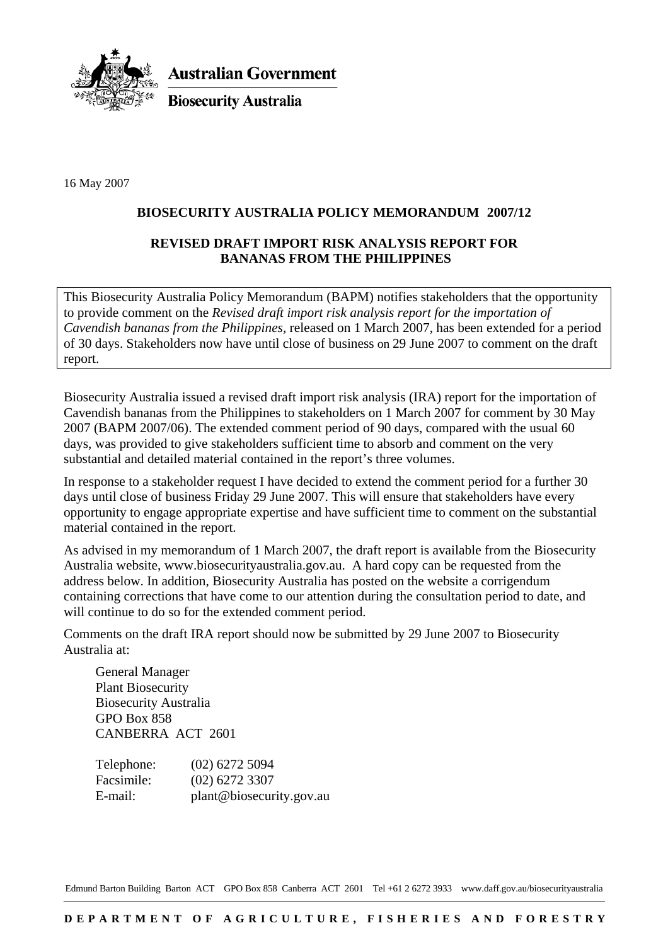

**Australian Government** 

**Biosecurity Australia** 

16 May 2007

## **BIOSECURITY AUSTRALIA POLICY MEMORANDUM 2007/12**

## **REVISED DRAFT IMPORT RISK ANALYSIS REPORT FOR BANANAS FROM THE PHILIPPINES**

This Biosecurity Australia Policy Memorandum (BAPM) notifies stakeholders that the opportunity to provide comment on the *Revised draft import risk analysis report for the importation of Cavendish bananas from the Philippines,* released on 1 March 2007, has been extended for a period of 30 days. Stakeholders now have until close of business on 29 June 2007 to comment on the draft report.

Biosecurity Australia issued a revised draft import risk analysis (IRA) report for the importation of Cavendish bananas from the Philippines to stakeholders on 1 March 2007 for comment by 30 May 2007 (BAPM 2007/06). The extended comment period of 90 days, compared with the usual 60 days, was provided to give stakeholders sufficient time to absorb and comment on the very substantial and detailed material contained in the report's three volumes.

In response to a stakeholder request I have decided to extend the comment period for a further 30 days until close of business Friday 29 June 2007. This will ensure that stakeholders have every opportunity to engage appropriate expertise and have sufficient time to comment on the substantial material contained in the report.

As advised in my memorandum of 1 March 2007, the draft report is available from the Biosecurity Australia website, www.biosecurityaustralia.gov.au. A hard copy can be requested from the address below. In addition, Biosecurity Australia has posted on the website a corrigendum containing corrections that have come to our attention during the consultation period to date, and will continue to do so for the extended comment period.

Comments on the draft IRA report should now be submitted by 29 June 2007 to Biosecurity Australia at:

General Manager Plant Biosecurity Biosecurity Australia GPO Box 858 CANBERRA ACT 2601

| Telephone: | $(02)$ 6272 5094         |
|------------|--------------------------|
| Facsimile: | $(02)$ 6272 3307         |
| E-mail:    | plant@biosecurity.gov.au |

Edmund Barton Building Barton ACT GPO Box 858 Canberra ACT 2601 Tel +61 2 6272 3933 www.daff.gov.au/biosecurityaustralia